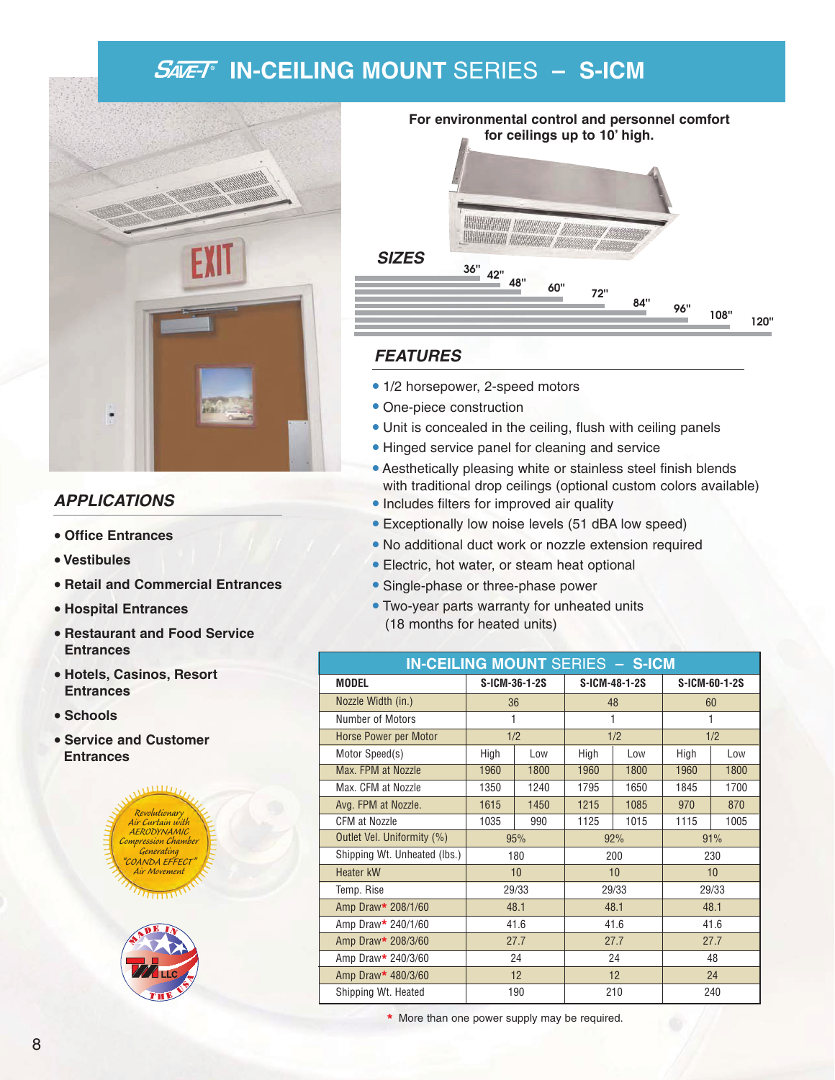# **IN-CEILING MOUNT** SERIES **– S-ICM**



## **APPLICATIONS**

- **• Office Entrances**
- **• Vestibules**
- **• Retail and Commercial Entrances**
- **• Hospital Entrances**
- **• Restaurant and Food Service Entrances**
- **• Hotels, Casinos, Resort Entrances**
- **• Schools**
- **• Service and Customer Entrances**







#### **FEATURES**

- 1/2 horsepower, 2-speed motors
- One-piece construction
- Unit is concealed in the ceiling, flush with ceiling panels
- Hinged service panel for cleaning and service
- Aesthetically pleasing white or stainless steel finish blends with traditional drop ceilings (optional custom colors available)
- Includes filters for improved air quality
- Exceptionally low noise levels (51 dBA low speed)
- No additional duct work or nozzle extension required
- Electric, hot water, or steam heat optional
- Single-phase or three-phase power
- Two-year parts warranty for unheated units (18 months for heated units)

| <b>IN-CEILING MOUNT SERIES - S-ICM</b> |               |      |               |      |               |      |  |  |  |
|----------------------------------------|---------------|------|---------------|------|---------------|------|--|--|--|
| <b>MODEL</b>                           | S-ICM-36-1-2S |      | S-ICM-48-1-2S |      | S-ICM-60-1-2S |      |  |  |  |
| Nozzle Width (in.)                     | 36            |      | 48            |      | 60            |      |  |  |  |
| Number of Motors                       | 1             |      | 1             |      | 1             |      |  |  |  |
| Horse Power per Motor                  | 1/2           |      | 1/2           |      | 1/2           |      |  |  |  |
| Motor Speed(s)                         | High          | Low  | High          | Low  | High          | Low  |  |  |  |
| Max. FPM at Nozzle                     | 1960          | 1800 | 1960          | 1800 | 1960          | 1800 |  |  |  |
| Max. CFM at Nozzle                     | 1350          | 1240 | 1795          | 1650 | 1845          | 1700 |  |  |  |
| Avg. FPM at Nozzle.                    | 1615          | 1450 | 1215          | 1085 | 970           | 870  |  |  |  |
| <b>CFM at Nozzle</b>                   | 1035<br>990   |      | 1125          | 1015 | 1115          | 1005 |  |  |  |
| Outlet Vel. Uniformity (%)             | 95%           |      | 92%           |      | 91%           |      |  |  |  |
| Shipping Wt. Unheated (lbs.)           | 180           |      | 200           |      | 230           |      |  |  |  |
| Heater kW                              | 10            |      | 10            |      | 10            |      |  |  |  |
| Temp. Rise                             | 29/33         |      | 29/33         |      | 29/33         |      |  |  |  |
| Amp Draw* 208/1/60                     | 48.1          |      | 48.1          |      | 48.1          |      |  |  |  |
| Amp Draw* 240/1/60                     | 41.6          |      | 41.6          |      | 41.6          |      |  |  |  |
| Amp Draw* 208/3/60                     | 27.7          |      | 27.7          |      | 27.7          |      |  |  |  |
| Amp Draw* 240/3/60                     | 24            |      | 24            |      | 48            |      |  |  |  |
| Amp Draw* 480/3/60                     | 12            |      | 12            |      | 24            |      |  |  |  |
| Shipping Wt. Heated                    | 190           |      | 210           |      | 240           |      |  |  |  |

**\*** More than one power supply may be required.